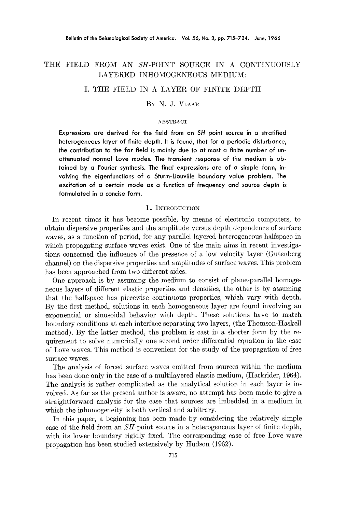# THE FIELD FROM AN SH-POINT SOURCE IN A CONTINUOUSLY LAYERED INHOMOGENEOUS MEDIUM:

## I. THE FIELD IN A LAYER OF FINITE DEPTH

### :BY N. J. VLAAR

#### **ABSTRACT**

**Expressions are derived for the field from an** *SH* **point source in a stratified heterogeneous layer of finite depth. It is found, that for a periodic disturbance, the contribution to the far field is mainly due to at most a finite number of unattenuated normal Love modes. The transient response of the medium is obtained by a Fourier synthesis. The final expressions are of a simple form, involving the eigenfunctions of a Sturm-Liouville boundary value problem. The excitation of a certain mode as a function of frequency and source depth is formulated in a concise form.** 

#### 1. INTRODUCTION

In recent times it has become possible, by means of electronic computers, to obtain dispersive properties and the amplitude versus depth dependence of surface waves, as a function of period, for any parallel layered heterogeneous halfspace in which propagating surface waves exist. One of the main aims in recent investigations concerned the influence of the presence of a low velocity layer (Gutenberg channel) on the dispersive properties and amplitudes of surface waves. This problem has been approached from two different sides.

One approach is by assuming the medium to consist of plane-parallel homogeneous layers of different elastic properties and densities, the other is by assuming that the halfspace has piecewise continuous properties, which vary with depth. By the first method, solutions in each homogeneous layer are found involving an exponential or sinusoidal behavior with depth. These solutions have to match boundary conditions at each interface separating two layers, (the Thomson-Haskell method). By the latter method, the problem is cast in a shorter form by the requirement to solve numerically one second order differential equation in the case of Love waves. This method is convenient for the study of the propagation of free surface waves.

The analysis of forced surface waves emitted from sources within the medium has been done only in the case of a multilayered elastic medium, (Harkrider, 1964). The analysis is rather complicated as the analytical solution in each layer is involved. As far as the present author is aware, no attempt has been made to give a straightforward analysis for the case that sources are imbedded in a medium in which the inhomogeneity is both vertical and arbitrary.

In this paper, a beginning has been made by considering the relatively simple case of the field from an  $SH$ -point source in a heterogeneous layer of finite depth, with its lower boundary rigidly fixed. The corresponding case of free Love wave propagation has been studied extensively by Hudson (1962).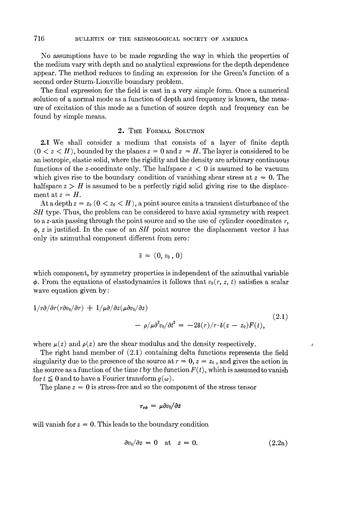No assumptions have to be made regarding the way in which the properties of the medium vary with depth and no analytical expressions for the depth dependence appear. The method reduces to finding an expression for the Green's function of a second order Sturm-Liouville boundary problem.

The final expression for the field is cast in a very simple form. Once a numerical solution of a normal mode as a function of depth and frequency is known, the measure of excitation of this mode as a function of source depth and frequency can be found by simple means.

## 2. THE FORMAL SOLUTION

2.1 We shall consider a medium that consists of a layer of finite depth  $(0 \lt z \lt H)$ , bounded by the planes  $z = 0$  and  $z = H$ . The layer is considered to be an isotropic, elastic solid, where the rigidity and the density are arbitrary continuous functions of the z-coordinate only. The halfspace  $z < 0$  is assumed to be vacuum which gives rise to the boundary condition of vanishing shear stress at  $z = 0$ . The halfspace  $z > H$  is assumed to be a perfectly rigid solid giving rise to the displacement at  $z = H$ .

At a depth  $z = z_0$  ( $0 < z_0 < H$ ), a point source emits a transient disturbance of the *SH* type. Thus, the problem can be considered to have axial symmetry with respect to a z-axis passing through the point source and so the use of cylinder coordinates *r,*   $\phi$ , z is justified. In the case of an *SH* point source the displacement vector  $\bar{s}$  has only its azimuthal component different from zero:

$$
\bar{s} = (0, v_0, 0)
$$

which component, by symmetry properties is independent of the azimuthal variable  $\phi$ . From the equations of elastodynamics it follows that  $v_0(r, z, t)$  satisfies a scalar wave equation given by:

$$
\begin{aligned} 1/r\partial/\partial r(r\partial v_0/\partial r) + 1/\mu \partial/\partial z(\mu \partial v_0/\partial z) \\ &- \rho/\mu \partial^2 v_0/\partial t^2 = -2\delta(r)/r \cdot \delta(z-z_0)F(t), \end{aligned} \tag{2.1}
$$

where  $\mu(z)$  and  $\rho(z)$  are the shear modulus and the density respectively.

The right hand member of (2.1) containing delta functions represents the field singularity due to the presence of the source at  $r = 0$ ,  $z = z_0$ , and gives the action in the source as a function of the time t by the function  $F(t)$ , which is assumed to vanish for  $t \leq 0$  and to have a Fourier transform  $g(\omega)$ .

The plane  $z = 0$  is stress-free and so the component of the stress tensor

$$
\tau_{z\phi} = \mu \partial v_0 / \partial z
$$

will vanish for  $z = 0$ . This leads to the boundary condition

$$
\frac{\partial v_0}{\partial z} = 0 \quad \text{at} \quad z = 0. \tag{2.2a}
$$

*4,*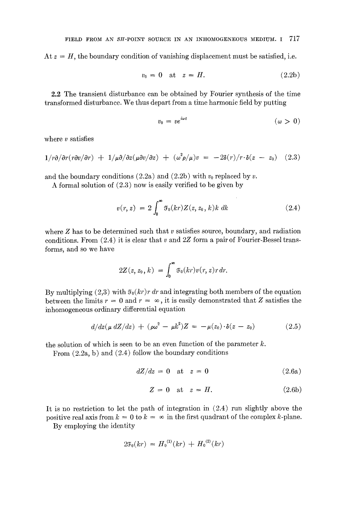At  $z = H$ , the boundary condition of vanishing displacement must be satisfied, i.e.

$$
v_0 = 0 \quad \text{at} \quad z = H. \tag{2.2b}
$$

2.2 The transient disturbance can be obtained by Fourier synthesis of the time transformed disturbance. We thus depart from a time harmonic field by putting

$$
v_0 = v e^{i\omega t} \qquad (\omega > 0)
$$

where  $\nu$  satisfies

$$
1/r\partial/\partial r(r\partial v/\partial r) + 1/\mu\partial/\partial z(\mu\partial v/\partial z) + (\omega^2 \rho/\mu)v = -2\delta(r)/r \cdot \delta(z - z_0)
$$
 (2.3)

and the boundary conditions (2.2a) and (2.2b) with  $v_0$  replaced by v.

A formal solution of (2.3) now is easily verified to be given by

$$
v(r, z) = 2 \int_0^{\infty} \mathfrak{F}_0(kr) Z(z, z_0, k) k \, dk \tag{2.4}
$$

where  $Z$  has to be determined such that  $v$  satisfies source, boundary, and radiation conditions. From  $(2.4)$  it is clear that v and  $2Z$  form a pair of Fourier-Bessel transforms, and so we have

$$
2Z(z, z_0, k) = \int_0^\infty \mathfrak{F}_0(kr) v(r, z) r dr.
$$

By multiplying  $(2,3)$  with  $\mathfrak{F}_0(kr)r dr$  and integrating both members of the equation between the limits  $r = 0$  and  $r = \infty$ , it is easily demonstrated that Z satisfies the inhomogeneous ordinary differential equation

$$
d/dz(\mu dZ/dz) + (\rho \omega^2 - \mu k^2)Z = -\mu(z_0) \cdot \delta(z - z_0)
$$
 (2.5)

the solution of which is seen to be an even function of the parameter  $k$ .

From  $(2.2a, b)$  and  $(2.4)$  follow the boundary conditions

$$
dZ/dz = 0 \quad \text{at} \quad z = 0 \tag{2.6a}
$$

$$
Z = 0 \quad \text{at} \quad z = H. \tag{2.6b}
$$

It is no restriction to let the path of integration in (2.4) run slightly above the positive real axis from  $k = 0$  to  $k = \infty$  in the first quadrant of the complex k-plane.

By employing the identity

$$
2\mathfrak{F}_0(kr) = H_0^{(1)}(kr) + H_0^{(2)}(kr)
$$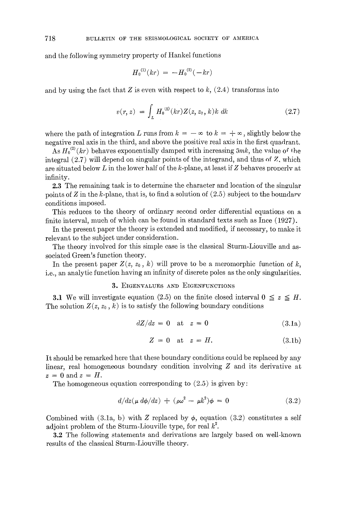and the following symmetry property of Hankel functions

$$
{H_0}^{(1)}(kr) = - {H_0}^{(2)}(-kr)
$$

and by using the fact that Z is even with respect to  $k$ ,  $(2.4)$  transforms into

$$
v(r, z) = \int_{L} H_0^{(2)}(kr) Z(z, z_0, k) k \, dk \tag{2.7}
$$

where the path of integration L runs from  $k = -\infty$  to  $k = +\infty$ , slightly below the negative real axis in the third, and above the positive real axis in the first quadrant.

As  $H_0^{(2)}(kr)$  behaves exponentially damped with increasing  $5mk$ , the value of the integral  $(2.7)$  will depend on singular points of the integrand, and thus of Z, which are situated below L in the lower half of the k-plane, at least if Z behaves properly at infinity.

2.3 The remaining task is to determine the character and location of the singular points of  $Z$  in the k-plane, that is, to find a solution of  $(2.5)$  subject to the boundary conditions imposed.

This reduces to the theory of ordinary second order differential equations on a finite interval, much of which can be found in standard texts such as Ince (1927).

In the present paper the theory is extended and modified, if necessary, to make it relevant to the subject under consideration.

The theory involved for this simple case is the classical Sturm-Liouville and associated Green's function theory.

In the present paper  $Z(z, z_0, k)$  will prove to be a meromorphic function of k, i.e., an analytic function having an infinity of discrete poles as the only singularities.

## 3. EIGENVALUES AND EIGENFUNCTIONS

**3.1** We will investigate equation (2.5) on the finite closed interval  $0 \leq z \leq H$ . The solution  $Z(z, z_0, k)$  is to satisfy the following boundary conditions

$$
dZ/dz = 0 \quad \text{at} \quad z = 0 \tag{3.1a}
$$

$$
Z = 0 \quad \text{at} \quad z = H. \tag{3.1b}
$$

It should be remarked here that these boundary conditions could be replaced by any linear, real homogeneous boundary condition involving Z and its derivative at  $z = 0$  and  $z = H$ .

The homogeneous equation corresponding to  $(2.5)$  is given by:

$$
d/dz(\mu d\phi/dz) + (\rho \omega^2 - \mu k^2)\phi = 0 \qquad (3.2)
$$

Combined with (3.1a, b) with Z replaced by  $\phi$ , equation (3.2) constitutes a self adjoint problem of the Sturm-Liouville type, for real  $k^2$ .

3.2 The following statements and derivations are largely based on well-known results of the classical Sturm-Liouville theory.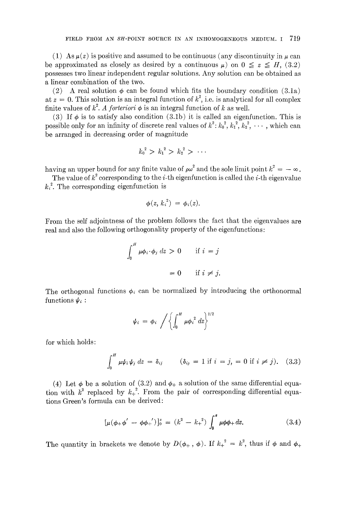(1) As  $\mu(z)$  is positive and assumed to be continuous (any discontinuity in  $\mu$  can be approximated as closely as desired by a continuous  $\mu$ ) on  $0 \le z \le H$ , (3.2) possesses two linear independent regular solutions. Any solution can be obtained as a linear combination of the two.

(2) A real solution  $\phi$  can be found which fits the boundary condition (3.1a) at  $z = 0$ . This solution is an integral function of  $k^2$ , i.e. is analytical for all complex finite values of  $k^2$ . A forteriori  $\phi$  is an integral function of k as well.

(3) If  $\phi$  is to satisfy also condition (3.1b) it is called an eigenfunction. This is possible only for an infinity of discrete real values of  $k^2: k_0^2, k_1^2, k_2^2, \cdots$ , which can be arranged in decreasing order of magnitude

$$
{k_0}^2 > {k_1}^2 > {k_2}^2 > \cdots
$$

having an upper bound for any finite value of  $\rho \omega^2$  and the sole limit point  $k^2 = -\infty$ .

The value of  $k^2$  corresponding to the *i*-th eigenfunction is called the *i*-th eigenvalue  $k<sub>i</sub><sup>2</sup>$ . The corresponding eigenfunction is

$$
\phi(z, k_i^2) = \phi_i(z).
$$

From the self adjointness of the problem follows the fact that the eigenvalues are real and also the following orthogonality property of the eigenfunctions:

$$
\int_0^H \mu \phi_i \cdot \phi_j \, dz > 0 \qquad \text{if } i = j
$$
\n
$$
= 0 \qquad \text{if } i \neq j.
$$

The orthogonal functions  $\phi_i$  can be normalized by introducing the orthonormal functions  $\psi_i$ :

$$
\psi_i = \phi_i / \left\{ \int_0^H \mu \phi_i^2 dz \right\}^{1/2}
$$

for which holds:

$$
\int_0^H \mu \psi_i \psi_j \, dz = \delta_{ij} \qquad (\delta_{ij} = 1 \text{ if } i = j, = 0 \text{ if } i \neq j). \tag{3.3}
$$

(4) Let  $\phi$  be a solution of (3.2) and  $\phi_+$  a solution of the same differential equation with  $k^2$  replaced by  $k_+^2$ . From the pair of corresponding differential equations Green's formula can be derived:

$$
[\mu(\phi_{+}\phi' - \phi\phi_{+}')]_{0}^{z} = (k^{2} - k_{+}^{2}) \int_{0}^{z} \mu\phi\phi_{+} dz.
$$
 (3.4)

The quantity in brackets we denote by  $D(\phi_+,\phi)$ . If  $k_+^2 = k^2$ , thus if  $\phi$  and  $\phi_+$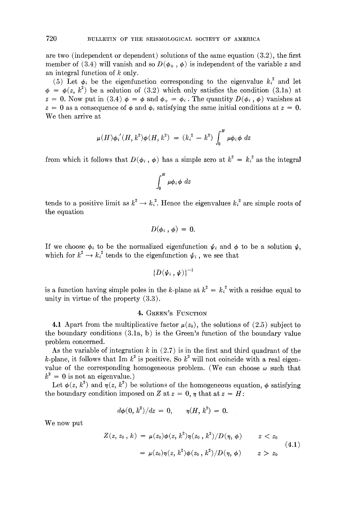are two (independent or dependent) solutions of the same equation  $(3.2)$ , the first member of (3.4) will vanish and so  $D(\phi_+, \phi)$  is independent of the variable z and an integral function of  $k$  only.

(5) Let  $\phi_i$  be the eigenfunction corresponding to the eigenvalue  $k_i^2$  and let  $\phi = \phi(z, k^2)$  be a solution of (3.2) which only satisfies the condition (3.1a) at  $z = 0$ . Now put in (3.4)  $\phi = \phi$  and  $\phi_+ = \phi_i$ . The quantity  $D(\phi_i, \phi)$  vanishes at  $z = 0$  as a consequence of  $\phi$  and  $\phi_i$  satisfying the same initial conditions at  $z = 0$ . We then arrive at

$$
\mu(H)\phi_i^{~\prime}(H,k^2)\phi(H,k^2) ~=~ (k_i^{\,2}\,-\,k^2)\,\int_0^H\,\mu\phi_i\phi~dz
$$

from which it follows that  $D(\phi_i, \phi)$  has a simple zero at  $k^2 = k_i^2$  as the integral

$$
\int_0^H \mu \phi_i \phi \ dz
$$

tends to a positive limit as  $k^* \to k^*$ . Hence the eigenvalues  $k_i^*$  are simple roots of the equation

$$
D(\phi_i,\,\phi)\,=\,0.
$$

If we choose  $\phi_i$  to be the normalized eigenfunction  $\psi_i$  and  $\phi$  to be a solution  $\psi$ , which for  $k^2 \rightarrow k_i^2$  tends to the eigenfunction  $\psi_i$ , we see that

$$
\left\{ D(\pmb{\psi}_i \, , \pmb{\psi}) \right\}^{-1} \bigm|
$$

is a function having simple poles in the k-plane at  $k^2 = k_i^2$  with a residue equal to unity in virtue of the property (3.3).

## 4. GREEN'S FUNCTION

4.1 Apart from the multiplicative factor  $\mu(z_0)$ , the solutions of (2.5) subject to the boundary conditions (3.1a, b) is the Green's function of the boundary value problem concerned.

As the variable of integration  $k$  in  $(2.7)$  is in the first and third quadrant of the k-plane, it follows that Im  $k^2$  is positive. So  $k^2$  will not coincide with a real eigenvalue of the corresponding homogeneous problem. (We can choose  $\omega$  such that  $k^2 = 0$  is not an eigenvalue.)

Let  $\phi(z, k^2)$  and  $\eta(z, k^2)$  be solutions of the homogeneous equation,  $\phi$  satisfying the boundary condition imposed on Z at  $z = 0$ ,  $\eta$  that at  $z = H$ :

$$
d\phi(0, k^2)/dz = 0, \quad \eta(H, k^2) = 0.
$$

We now put

$$
Z(z, z_0, k) = \mu(z_0) \phi(z, k^2) \eta(z_0, k^2) / D(\eta, \phi) \qquad z < z_0
$$
  
= 
$$
\mu(z_0) \eta(z, k^2) \phi(z_0, k^2) / D(\eta, \phi) \qquad z > z_0
$$
 (4.1)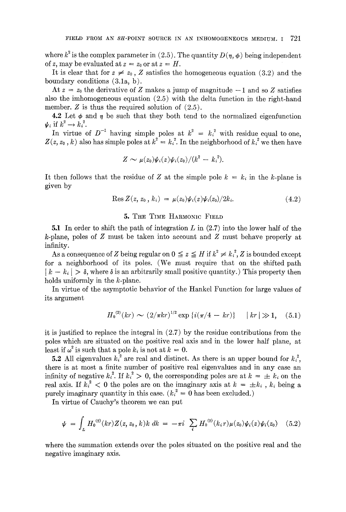where  $k^2$  is the complex parameter in (2.5). The quantity  $D(\eta, \phi)$  being independent of z, may be evaluated at  $z = z_0$  or at  $z = H$ .

It is clear that for  $z \neq z_0$ , Z satisfies the homogeneous equation (3.2) and the boundary conditions (3.1a, b).

At  $z = z_0$  the derivative of Z makes a jump of magnitude  $-1$  and so Z satisfies also the imhomogeneous equation (2.5) with the delta function in the right-hand member.  $Z$  is thus the required solution of  $(2.5)$ .

4.2 Let  $\phi$  and  $\eta$  be such that they both tend to the normalized eigenfunction  $\psi_i$  if  $k^2 \rightarrow k_i^2$ .

In virtue of  $D^{-1}$  having simple poles at  $k^2 = k_i^2$  with residue equal to one,  $Z(z, z_0, k)$  also has simple poles at  $k^2 = k_i^2$ . In the neighborhood of  $k_i^2$  we then have

$$
Z\sim \mu(z_0)\psi_i(z)\psi_i(z_0)/(k^2-k_i^2).
$$

It then follows that the residue of Z at the simple pole  $k = k_i$  in the k-plane is given by

$$
\text{Res } Z(z, z_0, k_i) = \mu(z_0) \psi_i(z) \psi_i(z_0) / 2k_i. \tag{4.2}
$$

## 5. THE TIME HARMONIC FIELD

5.1 In order to shift the path of integration L in (2.7) into the lower half of the k-plane, poles of Z must be taken into account and Z must behave properly at infinity.

As a consequence of Z being regular on  $0 \le z \le H$  if  $k^2 \ne k_i^2$ , Z is bounded except for a neighborhood of its poles. (We must require that on the shifted path  $|k - k_i| > \delta$ , where  $\delta$  is an arbitrarily small positive quantity.) This property then holds uniformly in the  $k$ -plane.

In virtue of the asymptotic behavior of the Hankel Function for large values of its argument

$$
H_0^{(2)}(kr) \sim (2/\pi kr)^{1/2} \exp \{i(\pi/4 - kr)\} \quad |kr| \gg 1, \quad (5.1)
$$

it is justified to replace the integral in  $(2.7)$  by the residue contributions from the poles which are situated on the positive real axis and in the lower half plane, at least if  $\omega^2$  is such that a pole  $k_i$  is not at  $k = 0$ .

**5.2** All eigenvalues  $k_i^2$  are real and distinct. As there is an upper bound for  $k_i^2$ , there is at most a finite number of positive real eigenvalues and in any case an infinity of negative  $k_i^2$ . If  $k_i^2 > 0$ , the corresponding poles are at  $k = \pm k_i$  on the real axis. If  $k_i^2 < 0$  the poles are on the imaginary axis at  $k = \pm k_i$ ,  $k_i$  being a purely imaginary quantity in this case.  $(k_i^2 = 0$  has been excluded.)

In virtue of Cauchy's theorem we can put

$$
\psi = \int_L H_0^{(2)}(kr) Z(z, z_0, k) k \, dk = -\pi i \sum_i H_0^{(2)}(k_i r) \mu(z_0) \psi_i(z) \psi_i(z_0) \quad (5.2)
$$

where the summation extends over the poles situated on the positive real and the negative imaginary axis.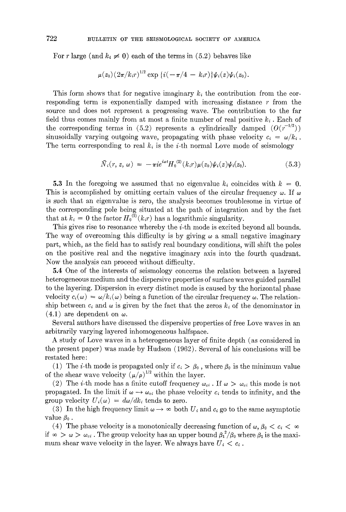For r large (and  $k_i \neq 0$ ) each of the terms in (5.2) behaves like

$$
\mu(z_0) (2\pi/k_i r)^{1/2} \exp \{i(-\pi/4 - k_i r)\}\psi_i(z)\psi_i(z_0).
$$

This form shows that for negative imaginary  $k_i$  the contribution from the corresponding term is exponentially damped with increasing distance  $r$  from the source and does not represent a progressing wave. The contribution to the far field thus comes mainly from at most a finite number of real positive  $k_i$ . Each of the corresponding terms in (5.2) represents a cylindrically damped  $(O(r^{-1/2}))$ sinusoidally varying outgoing wave, propagating with phase velocity  $c_i = \omega/k_i$ . The term corresponding to real  $k_i$  is the *i*-th normal Love mode of seismology

$$
\bar{N}_i(r, z, \omega) = -\pi i e^{i\omega t} H_0^{(2)}(k_i r) \mu(z_0) \psi_i(z) \psi_i(z_0). \tag{5.3}
$$

5.3 In the foregoing we assumed that no eigenvalue  $k_i$  coincides with  $k = 0$ . This is accomplished by omitting certain values of the circular frequency  $\omega$ . If  $\omega$ is such that an eigenvalue is zero, the analysis becomes troublesome in virtue of the corresponding pole being situated at the path of integration and by the fact that at  $k_i = 0$  the factor  $H_0^{(\tilde{2})}(k_i r)$  has a logarithmic singularity.

This gives rise to resonance whereby the  $i$ -th mode is excited beyond all bounds. The way of overcoming this difficulty is by giving  $\omega$  a small negative imaginary part, which, as the field has to satisfy real boundary conditions, will shift the poles on the positive real and the negative imaginary axis into the fourth quadrant. Now the analysis can proceed without difficulty.

5.4 One of the interests of seismology concerns the relation between a layered heterogeneous medium and the dispersive properties of surface waves guided parallel to the layering. Dispersion in every distinct mode is caused by the horizontal phase velocity  $c_i(\omega) = \omega/k_i(\omega)$  being a function of the circular frequency  $\omega$ . The relationship between  $c_i$  and  $\omega$  is given by the fact that the zeros  $k_i$  of the denominator in  $(4.1)$  are dependent on  $\omega$ .

Several authors have discussed the dispersive properties of free Love waves in an arbitrarily varying layered inhomogeneous halfspaee.

A study of Love waves in a heterogeneous layer of finite depth (as considered in the present paper) was made by Hudson (1962). Several of his conclusions will be restated here:

(1) The *i*-th mode is propagated only if  $c_i > \beta_0$ , where  $\beta_0$  is the minimum value of the shear wave velocity  $(\mu/\rho)^{1/2}$  within the layer.

(2) The *i*-th mode has a finite cutoff frequency  $\omega_{ci}$ . If  $\omega > \omega_{ci}$  this mode is not propagated. In the limit if  $\omega \rightarrow \omega_{ci}$  the phase velocity c<sub>i</sub> tends to infinity, and the group velocity  $U_i(\omega) = d\omega/dk_i$  tends to zero.

(3) In the high frequency limit  $\omega \to \infty$  both  $U_i$  and  $c_i$  go to the same asymptotic value  $\beta_0$ .

(4) The phase velocity is a monotonically decreasing function of  $\omega, \beta_0 < c_i < \infty$ if  $\infty > \omega > \omega_{ci}$ . The group velocity has an upper bound  $\beta_1^2/\beta_0$  where  $\beta_1$  is the maximum shear wave velocity in the layer. We always have  $U_i < c_i$ .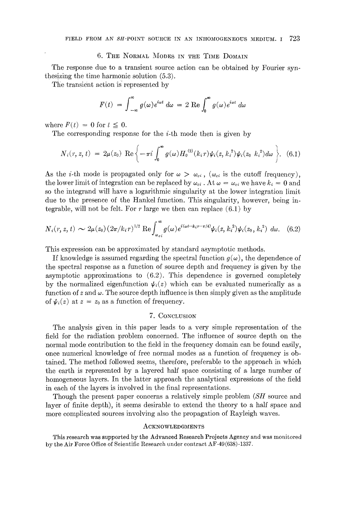### 6. THE NORMAL MODES IN THE TIME DOMAIN

The response due to a transient source action can be obtained by Fourier synthesizing the time harmonic solution (5.3).

The transient action is represented by

$$
F(t) = \int_{-\infty}^{\infty} g(\omega) e^{i\omega t} d\omega = 2 \text{ Re} \int_{0}^{\infty} g(\omega) e^{i\omega t} d\omega
$$

where  $F(t) = 0$  for  $t \leq 0$ .

The corresponding response for the  $i$ -th mode then is given by

$$
N_i(r, z, t) = 2\mu(z_0) \text{ Re } \left\{-\pi i \int_0^{\infty} g(\omega) H_0^{(2)}(k_i r) \psi_i(z, k_i^2) \psi_i(z_0, k_i^2) d\omega \right\}. \tag{6.1}
$$

As the *i*-th mode is propagated only for  $\omega > \omega_{ci}$ , ( $\omega_{ci}$  is the cutoff frequency), the lower limit of integration can be replaced by  $\omega_{ci}$ . At  $\omega = \omega_{ci}$  we have  $k_i = 0$  and so the integrand will have a logarithmic singularity at the lower integration limit due to the presence of the Hankel function. This singularity, however, being integrable, will not be felt. For r large we then can replace  $(6.1)$  by

$$
N_i(r, z, t) \sim 2\mu(z_0) \left(2\pi/k_i r\right)^{1/2} \text{Re} \int_{\omega_{ci}}^{\infty} g(\omega) e^{i(\omega t - k_i r - \pi/4)} \psi_i(z, k_i^2) \psi_i(z_0, k_i^2) d\omega. \tag{6.2}
$$

This expression can be approximated by standard asymptotic methods.

If knowledge is assumed regarding the spectral function  $g(\omega)$ , the dependence of the spectral response as a function of source depth and frequency is given by the asymptotic approximations to (6.2). This dependence is governed completely by the normalized eigenfunction  $\psi_i(z)$  which can be evaluated numerically as a function of  $z$  and  $\omega$ . The source depth influence is then simply given as the amplitude of  $\psi_i(z)$  at  $z = z_0$  as a function of frequency.

#### 7. CONCLUSION

The analysis given in this paper leads to a very simple representation of the field for the radiation problem concerned. The influence of source depth on the normal mode contribution to the field in the frequency domain can be found easily, once numerical knowledge of free normal modes as a function of frequency is obtained. The method followed seems, therefore, preferable to the approach in which the earth is represented by a layered half space consisting of a large number of homogeneous layers. In the latter approach the analytical expressions of the field in each of the layers is involved in the final representations.

Though the present paper concerns a relatively simple problem *(SH* source and layer of finite depth), it seems desirable to extend the theory to a half space and more complicated sources involving also the propagation of Rayleigh waves.

#### ACKNOWLEDGMENTS

This research was supported by the Advanced Research Projects Agency and was monitored by the Air Force Office of Scientific Research under contract AF-49 (638)-1337.